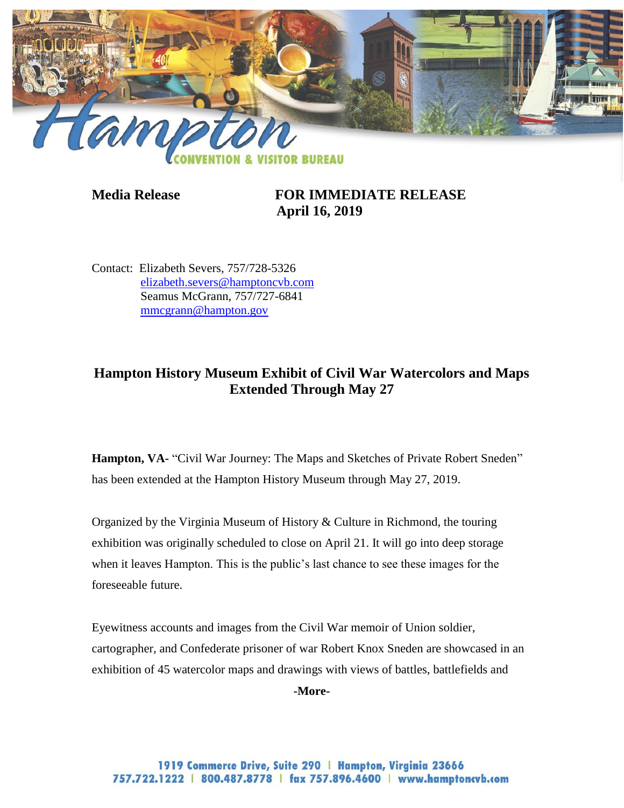

## **Media Release FOR IMMEDIATE RELEASE April 16, 2019**

Contact: Elizabeth Severs, 757/728-5326 [elizabeth.severs@hamptoncvb.com](mailto:elizabeth.severs@hamptoncvb.com) Seamus McGrann, 757/727-6841 [mmcgrann@hampton.gov](mailto:mmcgrann@hampton.gov)

## **Hampton History Museum Exhibit of Civil War Watercolors and Maps Extended Through May 27**

Hampton, VA- "Civil War Journey: The Maps and Sketches of Private Robert Sneden" has been extended at the Hampton History Museum through May 27, 2019.

Organized by the Virginia Museum of History & Culture in Richmond, the touring exhibition was originally scheduled to close on April 21. It will go into deep storage when it leaves Hampton. This is the public's last chance to see these images for the foreseeable future.

Eyewitness accounts and images from the Civil War memoir of Union soldier, cartographer, and Confederate prisoner of war Robert Knox Sneden are showcased in an exhibition of 45 watercolor maps and drawings with views of battles, battlefields and

**-More-**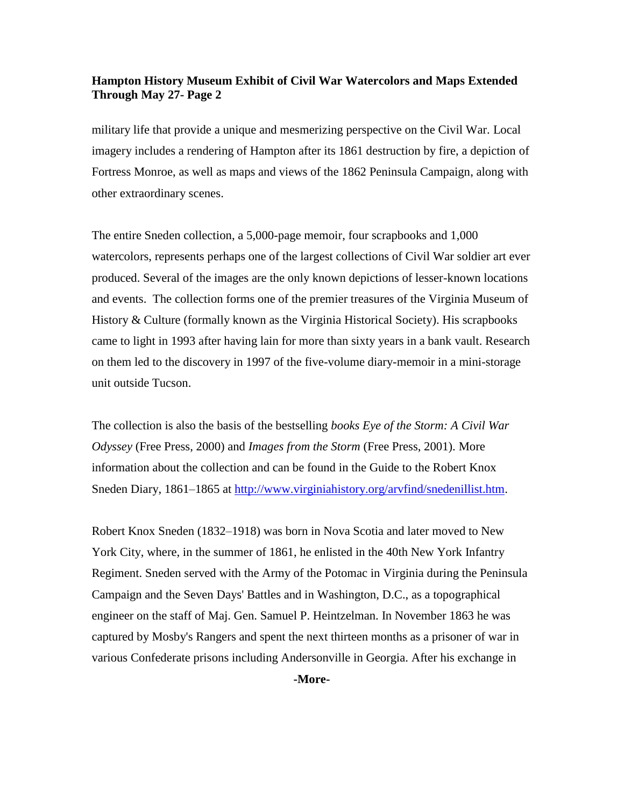## **Hampton History Museum Exhibit of Civil War Watercolors and Maps Extended Through May 27- Page 2**

military life that provide a unique and mesmerizing perspective on the Civil War. Local imagery includes a rendering of Hampton after its 1861 destruction by fire, a depiction of Fortress Monroe, as well as maps and views of the 1862 Peninsula Campaign, along with other extraordinary scenes.

The entire Sneden collection, a 5,000-page memoir, four scrapbooks and 1,000 watercolors, represents perhaps one of the largest collections of Civil War soldier art ever produced. Several of the images are the only known depictions of lesser-known locations and events. The collection forms one of the premier treasures of the Virginia Museum of History & Culture (formally known as the Virginia Historical Society). His scrapbooks came to light in 1993 after having lain for more than sixty years in a bank vault. Research on them led to the discovery in 1997 of the five-volume diary-memoir in a mini-storage unit outside Tucson.

The collection is also the basis of the bestselling *books Eye of the Storm: A Civil War Odyssey* (Free Press, 2000) and *Images from the Storm* (Free Press, 2001). More information about the collection and can be found in the Guide to the Robert Knox Sneden Diary, 1861–1865 at [http://www.virginiahistory.org/arvfind/snedenillist.htm.](http://www.virginiahistory.org/arvfind/snedenillist.htm)

Robert Knox Sneden (1832–1918) was born in Nova Scotia and later moved to New York City, where, in the summer of 1861, he enlisted in the 40th New York Infantry Regiment. Sneden served with the Army of the Potomac in Virginia during the Peninsula Campaign and the Seven Days' Battles and in Washington, D.C., as a topographical engineer on the staff of Maj. Gen. Samuel P. Heintzelman. In November 1863 he was captured by Mosby's Rangers and spent the next thirteen months as a prisoner of war in various Confederate prisons including Andersonville in Georgia. After his exchange in

**-More-**